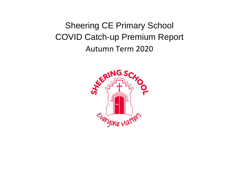## Sheering CE Primary School COVID Catch-up Premium Report Autumn Term 2020

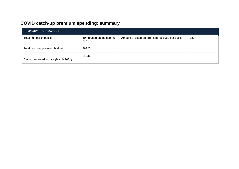## **COVID catch-up premium spending: summary**

| SUMMARY INFORMATION                  |                                     |                                                |     |  |
|--------------------------------------|-------------------------------------|------------------------------------------------|-----|--|
| Total number of pupils:              | 104 (based on the summer<br>census) | Amount of catch-up premium received per pupil: | £80 |  |
| Total catch-up premium budget:       | £8320                               |                                                |     |  |
| Amount received to date (March 2021) | £1840                               |                                                |     |  |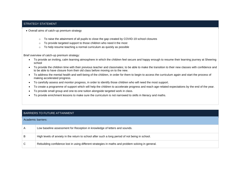## STRATEGY STATEMENT

• Overall aims of catch-up premium strategy

- o To raise the attainment of all pupils to close the gap created by COVID-19 school closures
- o To provide targeted support to those children who need it the most
- o To help resume teaching a normal curriculum as quickly as possible

Brief overview of catch-up premium strategy:

- To provide an inviting, calm learning atmosphere in which the children feel secure and happy enough to resume their learning journey at Sheering school
- To provide the children time with their previous teacher and classmates; to be able to make the transition to their new classes with confidence and to be able to have closure from their old class before moving on to the new.
- To address the mental health and well-being of the children, in order for them to begin to access the curriculum again and start the process of making accelerated progress.
- To carefully assess and monitor progress, in order to identify those children who will need the most support.
- To create a programme of support which will help the children to accelerate progress and reach age-related expectations by the end of the year.
- To provide small group and one-to-one tuition alongside targeted work in class.
- To provide enrichment lessons to make sure the curriculum is not narrowed to skills in literacy and maths.

| <b>BARRIERS TO FUTURE ATTAINMENT</b> |                                                                                                   |  |  |
|--------------------------------------|---------------------------------------------------------------------------------------------------|--|--|
| Academic barriers:                   |                                                                                                   |  |  |
| A                                    | Low baseline assessment for Reception in knowledge of letters and sounds.                         |  |  |
| B                                    | High levels of anxiety in the return to school after such a long period of not being in school.   |  |  |
| C                                    | Rebuilding confidence lost in using different strategies in maths and problem solving in general. |  |  |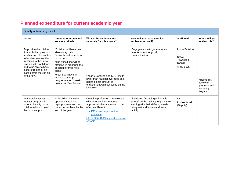## **Planned expenditure for current academic year**

| Quality of teaching for all                                                                                                                                                                                                                                 |                                                                                                                                                                                                                                                                                       |                                                                                                                                                                                                                |                                                                                                                                                                  |                                                              |                                                                    |
|-------------------------------------------------------------------------------------------------------------------------------------------------------------------------------------------------------------------------------------------------------------|---------------------------------------------------------------------------------------------------------------------------------------------------------------------------------------------------------------------------------------------------------------------------------------|----------------------------------------------------------------------------------------------------------------------------------------------------------------------------------------------------------------|------------------------------------------------------------------------------------------------------------------------------------------------------------------|--------------------------------------------------------------|--------------------------------------------------------------------|
| <b>Action</b>                                                                                                                                                                                                                                               | Intended outcome and<br>success criteria                                                                                                                                                                                                                                              | What's the evidence and<br>rationale for this choice?                                                                                                                                                          | How will you make sure it's<br>implemented well?                                                                                                                 | <b>Staff lead</b>                                            | When will you<br>review this?                                      |
| To provide the children<br>time with their previous<br>teacher and classmates:<br>to be able to make the<br>transition to their new<br>classes with confidence<br>and to be able to have<br>closure from their old<br>class before moving on<br>to the new. | *Children will have been<br>able to say their<br>farewells and be able to<br>move on.<br>*The transitions will be<br>effective in preparing the<br>children for their next<br>class.<br>*Year 6 will have an<br>intense catch-up<br>programme for 2 weeks<br>before the Year 5s join. | *Year 6 Baseline and KS1 results<br>lower than national averages and<br>had the least amount of<br>engagement with schooling during<br>lockdown.                                                               | *Engagement with governors and<br>parents to ensure good<br>communication                                                                                        | Lorna Brittaine<br>Steve<br>Townsend<br>(Chair)<br>Anna Beck | *Half termly<br>review of<br>progress and<br>resetting<br>targets. |
| To carefully assess and<br>monitor progress, in<br>order to identify those<br>children who will need<br>the most support.                                                                                                                                   | *All children have the<br>opportunity to make<br>rapid progress and reach<br>the expected level by the<br>end of the year.                                                                                                                                                            | Combine professional knowledge<br>with robust evidence about<br>approaches that are known to be<br>effective. Refer to:<br>• DfE's catch-up premium<br>quidance<br>EEF's COVID-19 support guide for<br>schools | All children (including vulnerable<br>groups) will be making leaps in their<br>learning with their differing needs<br>being met and issues addressed<br>rapidly. | LB<br>Louise Ansell<br>(Deputy)                              |                                                                    |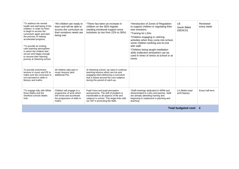| *To address the mental<br>health and well-being of the<br>children, in order for them<br>to begin to access the<br>curriculum again and start<br>the process of making<br>accelerated progress.<br>*To provide an inviting,<br>calm learning atmosphere<br>in which the children feel<br>secure and happy enough<br>to resume their learning<br>journey at Sheering school | *All children are ready to<br>learn and will be able to<br>access the curriculum as<br>their emotions needs are<br>being met. | *There has been an increase in<br>children on the SEN register<br>needing emotional support since<br>lockdown (a rise from 22% to 36%)                                                                 | *Introduction of Zones of Regulation<br>to support children in regulating their<br>own emotions.<br>*Training for LSAs<br>*Children engaging in calming<br>activities when they come into school,<br>some children working one-to-one<br>with staff.<br>*Children being taught meditation<br>skills (reflection time) which can be<br>used in times of stress at school or at<br>home. | LB<br>Sarah Billett<br>(SENCO) | Reviewed<br>every week. |
|----------------------------------------------------------------------------------------------------------------------------------------------------------------------------------------------------------------------------------------------------------------------------------------------------------------------------------------------------------------------------|-------------------------------------------------------------------------------------------------------------------------------|--------------------------------------------------------------------------------------------------------------------------------------------------------------------------------------------------------|----------------------------------------------------------------------------------------------------------------------------------------------------------------------------------------------------------------------------------------------------------------------------------------------------------------------------------------------------------------------------------------|--------------------------------|-------------------------|
| To provide enrichment<br>lessons in music and PE to<br>make sure the curriculum is<br>not narrowed to skills in<br>literacy and maths.                                                                                                                                                                                                                                     | All children take part in<br>music lessons (and<br>additional PE).                                                            | At Sheering school, we want to continue<br>teaching lessons which are fun and<br>engaging whist delivering a curriculum<br>that is based around the core subjects<br>during this period of catch-up.   |                                                                                                                                                                                                                                                                                                                                                                                        |                                |                         |
| *To engage fully with White<br>Rose Maths and the<br>Stortford schools Maths<br>Hub                                                                                                                                                                                                                                                                                        | Children will engage in a<br>programme of work which<br>will revisit and accelerate<br>the progression of skills in<br>maths. | Pupil Voice and pupil perception<br>assessments. The skill of problem is<br>transferable to all aspects of life and<br>subjects in school. This target links with<br>our SIP in promoting life skills. | *Staff meetings dedicated to WRM and<br>disseminated to LSAs and parents. Staff<br>are already attending training and<br>beginning to implement in planning and<br>teaching.                                                                                                                                                                                                           | LA (Maths lead<br>and Deputy)  | Every half term.        |
| Total budgeted cost: £                                                                                                                                                                                                                                                                                                                                                     |                                                                                                                               |                                                                                                                                                                                                        |                                                                                                                                                                                                                                                                                                                                                                                        |                                |                         |